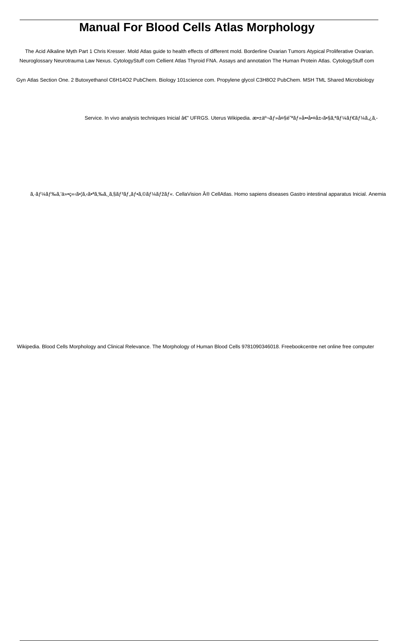# **Manual For Blood Cells Atlas Morphology**

The Acid Alkaline Myth Part 1 Chris Kresser. Mold Atlas guide to health effects of different mold. Borderline Ovarian Tumors Atypical Proliferative Ovarian. Neuroglossary Neurotrauma Law Nexus. CytologyStuff com Cellient Atlas Thyroid FNA. Assays and annotation The Human Protein Atlas. CytologyStuff com

Gyn Atlas Section One. 2 Butoxyethanol C6H14O2 PubChem. Biology 101science com. Propylene glycol C3H8O2 PubChem. MSH TML Shared Microbiology

Service. In vivo analysis techniques Inicial â€" UFRGS. Uterus Wikipedia. æ. 29-zä<sup>o</sup>-af » 大é<sup>-a</sup>ãf » å¤å•¤å±‹ā•§ã,ªãf ¼ã f€ãf ¼ã,¿ã,-

ā,-ãf ¼ãf‰ã,'仕ç« «ã•lã, «ã•ªã,‰ã, ā,§ãf<sup>3</sup>ãf, ãf•ã,©ãf ¼ãfžãf «. CellaVision ® CellAtlas. Homo sapiens diseases Gastro intestinal apparatus Inicial. Anemia

Wikipedia. Blood Cells Morphology and Clinical Relevance. The Morphology of Human Blood Cells 9781090346018. Freebookcentre net online free computer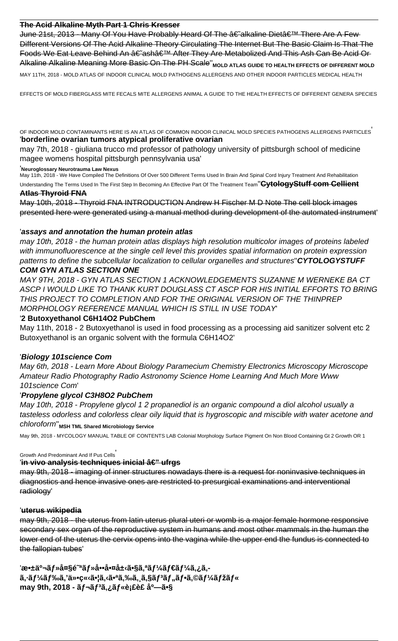## **The Acid Alkaline Myth Part 1 Chris Kresser**

June 21st, 2013 - Many Of You Have Probably Heard Of The †̃alkaline Diet' There Are A Few Different Versions Of The Acid Alkaline Theory Circulating The Internet But The Basic Claim Is That The Foods We Eat Leave Behind An †ashâ€<sup>™</sup> After They Are Metabolized And This Ash Can Be Acid Or Alkaline Alkaline Meaning More Basic On The PH Scale''**MOLD ATLAS GUIDE TO HEALTH EFFECTS OF DIFFERENT MOLD** MAY 11TH, 2018 - MOLD ATLAS OF INDOOR CLINICAL MOLD PATHOGENS ALLERGENS AND OTHER INDOOR PARTICLES MEDICAL HEALTH

EFFECTS OF MOLD FIBERGLASS MITE FECALS MITE ALLERGENS ANIMAL A GUIDE TO THE HEALTH EFFECTS OF DIFFERENT GENERA SPECIES

OF INDOOR MOLD CONTAMINANTS HERE IS AN ATLAS OF COMMON INDOOR CLINICAL MOLD SPECIES PATHOGENS ALLERGENS PARTICLES' '**borderline ovarian tumors atypical proliferative ovarian**

may 7th, 2018 - giuliana trucco md professor of pathology university of pittsburgh school of medicine magee womens hospital pittsburgh pennsylvania usa'

#### '**Neuroglossary Neurotrauma Law Nexus**

May 11th, 2018 - We Have Compiled The Definitions Of Over 500 Different Terms Used In Brain And Spinal Cord Injury Treatment And Rehabilitation Understanding The Terms Used In The First Step In Becoming An Effective Part Of The Treatment Team''**CytologyStuff com Cellient**

#### **Atlas Thyroid FNA**

May 10th, 2018 - Thyroid FNA INTRODUCTION Andrew H Fischer M D Note The cell block images presented here were generated using a manual method during development of the automated instrument'

# '**assays and annotation the human protein atlas**

may 10th, 2018 - the human protein atlas displays high resolution multicolor images of proteins labeled with immunofluorescence at the single cell level this provides spatial information on protein expression patterns to define the subcellular localization to cellular organelles and structures''**CYTOLOGYSTUFF**

# **COM GYN ATLAS SECTION ONE**

MAY 9TH, 2018 - GYN ATLAS SECTION 1 ACKNOWLEDGEMENTS SUZANNE M WERNEKE BA CT ASCP I WOULD LIKE TO THANK KURT DOUGLASS CT ASCP FOR HIS INITIAL EFFORTS TO BRING THIS PROJECT TO COMPLETION AND FOR THE ORIGINAL VERSION OF THE THINPREP MORPHOLOGY REFERENCE MANUAL WHICH IS STILL IN USE TODAY'

## '**2 Butoxyethanol C6H14O2 PubChem**

May 11th, 2018 - 2 Butoxyethanol is used in food processing as a processing aid sanitizer solvent etc 2 Butoxyethanol is an organic solvent with the formula C6H14O2'

# '**Biology 101science Com**

May 6th, 2018 - Learn More About Biology Paramecium Chemistry Electronics Microscopy Microscope Amateur Radio Photography Radio Astronomy Science Home Learning And Much More Www 101science Com'

# '**Propylene glycol C3H8O2 PubChem**

May 10th, 2018 - Propylene glycol 1 2 propanediol is an organic compound a diol alcohol usually a tasteless odorless and colorless clear oily liquid that is hygroscopic and miscible with water acetone and chloroform''**MSH TML Shared Microbiology Service**

May 9th, 2018 - MYCOLOGY MANUAL TABLE OF CONTENTS LAB Colonial Morphology Surface Pigment On Non Blood Containing Gt 2 Growth OR 1

#### Growth And Predominant And If Pus Cells'

## 'in vivo analysis techniques inicial â€" ufrgs

may 9th, 2018 - imaging of inner structures nowadays there is a request for noninvasive techniques in diagnostics and hence invasive ones are restricted to presurgical examinations and interventional radiology'

#### '**uterus wikipedia**

may 9th, 2018 - the uterus from latin uterus plural uteri or womb is a major female hormone responsive secondary sex organ of the reproductive system in humans and most other mammals in the human the lower end of the uterus the cervix opens into the vagina while the upper end the fundus is connected to the fallopian tubes'

'敱京・大é<sup>~a</sup>・啕啤屋ã•§ã,ªãƒ¼ãƒ€ãƒ¼ã,¿ã,ã,∙ãf¼ãf‰ã,'仕立㕦ã,‹ã•ªã,‰ã, ã,§ãf<sup>3</sup>ãf"ãf•ã,©ãf¼ãfžãf« may 9th, 2018 - レリã,¿ãƒ«è¡£è£ 店ã•§